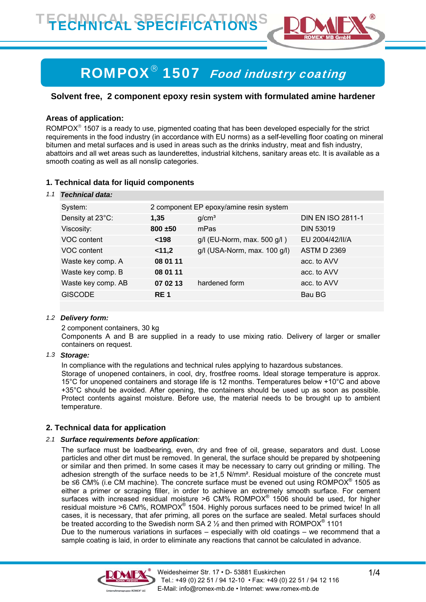

# ROMPOX® 1507 Food industry coating

# **Solvent free, 2 component epoxy resin system with formulated amine hardener**

# **Areas of application:**

ROMPOX<sup>®</sup> 1507 is a ready to use, pigmented coating that has been developed especially for the strict requirements in the food industry (in accordance with EU norms) as a self-levelling floor coating on mineral bitumen and metal surfaces and is used in areas such as the drinks industry, meat and fish industry, abattoirs and all wet areas such as launderettes, industrial kitchens, sanitary areas etc. It is available as a smooth coating as well as all nonslip categories.

# **1. Technical data for liquid components**

#### *1.1 Technical data:*

| System:            | 2 component EP epoxy/amine resin system |                              |                          |
|--------------------|-----------------------------------------|------------------------------|--------------------------|
| Density at 23°C:   | 1,35                                    | g/cm <sup>3</sup>            | <b>DIN EN ISO 2811-1</b> |
| Viscosity:         | $800 + 50$                              | mPas                         | <b>DIN 53019</b>         |
| VOC content        | < 198                                   | g/l (EU-Norm, max. 500 g/l)  | EU 2004/42/II/A          |
| VOC content        | 11,2                                    | g/l (USA-Norm, max. 100 g/l) | <b>ASTM D 2369</b>       |
| Waste key comp. A  | 08 01 11                                |                              | acc. to AVV              |
| Waste key comp. B  | 08 01 11                                |                              | acc. to AVV              |
| Waste key comp. AB | 07 02 13                                | hardened form                | acc. to AVV              |
| <b>GISCODE</b>     | RE <sub>1</sub>                         |                              | Bau BG                   |
|                    |                                         |                              |                          |

## *1.2 Delivery form:*

2 component containers, 30 kg

Components A and B are supplied in a ready to use mixing ratio. Delivery of larger or smaller containers on request.

#### *1.3 Storage:*

In compliance with the regulations and technical rules applying to hazardous substances.

Storage of unopened containers, in cool, dry, frostfree rooms. Ideal storage temperature is approx. 15°C for unopened containers and storage life is 12 months. Temperatures below +10°C and above +35°C should be avoided. After opening, the containers should be used up as soon as possible. Protect contents against moisture. Before use, the material needs to be brought up to ambient temperature.

## **2. Technical data for application**

## *2.1 Surface requirements before application:*

The surface must be loadbearing, even, dry and free of oil, grease, separators and dust. Loose particles and other dirt must be removed. In general, the surface should be prepared by shotpeening or similar and then primed. In some cases it may be necessary to carry out grinding or milling. The adhesion strength of the surface needs to be ≥1,5 N/mm². Residual moisture of the concrete must be ≤6 CM% (i.e CM machine). The concrete surface must be evened out using ROMPOX<sup>®</sup> 1505 as either a primer or scraping filler, in order to achieve an extremely smooth surface. For cement surfaces with increased residual moisture  $>6$  CM% ROMPOX® 1506 should be used, for higher residual moisture >6 CM%, ROMPOX<sup>®</sup> 1504. Highly porous surfaces need to be primed twice! In all cases, it is necessary, that afer priming, all pores on the surface are sealed. Metal surfaces should be treated according to the Swedish norm SA 2  $\frac{1}{2}$  and then primed with ROMPOX<sup>®</sup> 1101 Due to the numerous variations in surfaces – especially with old coatings – we recommend that a sample coating is laid, in order to eliminate any reactions that cannot be calculated in advance.

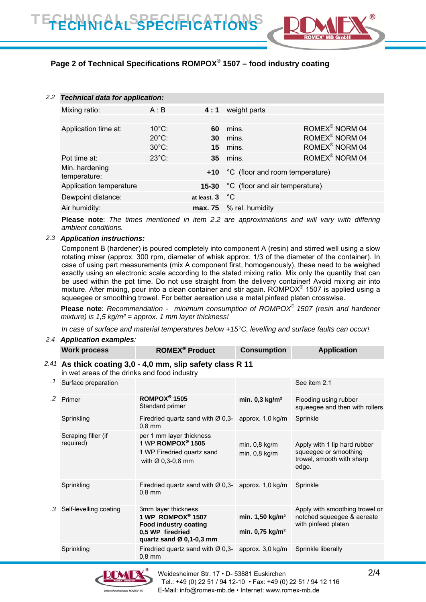

# **Page 2 of Technical Specifications ROMPOX® 1507 – food industry coating**

| $2.2^{\circ}$ | <b>Technical data for application:</b> |                                                       |                |                                     |                                                                                        |
|---------------|----------------------------------------|-------------------------------------------------------|----------------|-------------------------------------|----------------------------------------------------------------------------------------|
|               | Mixing ratio:                          | A:B                                                   | 4:1            | weight parts                        |                                                                                        |
|               |                                        |                                                       |                |                                     |                                                                                        |
|               | Application time at:                   | $10^{\circ}$ C:<br>$20^{\circ}$ C:<br>$30^{\circ}$ C: | 60<br>30<br>15 | mins.<br>mins.<br>mins.             | ROMEX <sup>®</sup> NORM 04<br>ROMEX <sup>®</sup> NORM 04<br>ROMEX <sup>®</sup> NORM 04 |
|               | Pot time at:                           | $23^{\circ}$ C:                                       |                | <b>35</b> mins.                     | ROMEX <sup>®</sup> NORM 04                                                             |
|               | Min. hardening<br>temperature:         |                                                       |                | +10 °C (floor and room temperature) |                                                                                        |
|               | Application temperature                | 15-30                                                 |                | °C (floor and air temperature)      |                                                                                        |
|               | Dewpoint distance:                     |                                                       | at least. 3 °C |                                     |                                                                                        |
|               | Air humidity:                          |                                                       |                | max. 75 % rel. humidity             |                                                                                        |

**Please note**: *The times mentioned in item 2.2 are approximations and will vary with differing ambient conditions.* 

#### *2.3 Application instructions:*

Component B (hardener) is poured completely into component A (resin) and stirred well using a slow rotating mixer (approx. 300 rpm, diameter of whisk approx. 1/3 of the diameter of the container). In case of using part measurements (mix A component first, homogenously), these need to be weighed exactly using an electronic scale according to the stated mixing ratio. Mix only the quantity that can be used within the pot time. Do not use straight from the delivery container! Avoid mixing air into mixture. After mixing, pour into a clean container and stir again. ROMPOX<sup>®</sup> 1507 is applied using a squeegee or smoothing trowel. For better aereation use a metal pinfeed platen crosswise.

**Please note**: *Recommendation - minimum consumption of ROMPOX® 1507 (resin and hardener mixture) is 1,5 kg/m² = approx. 1 mm layer thickness!* 

*In case of surface and material temperatures below +15°C, levelling and surface faults can occur!* 

#### *2.4 Application examples:*

|           | <b>Work process</b>                                                                                          | <b>ROMEX<sup>®</sup> Product</b>                                                                                           | <b>Consumption</b>                                             | <b>Application</b>                                                                          |  |
|-----------|--------------------------------------------------------------------------------------------------------------|----------------------------------------------------------------------------------------------------------------------------|----------------------------------------------------------------|---------------------------------------------------------------------------------------------|--|
|           | $2.41$ As thick coating 3,0 - 4,0 mm, slip safety class R 11<br>in wet areas of the drinks and food industry |                                                                                                                            |                                                                |                                                                                             |  |
| $\cdot$ 1 | Surface preparation                                                                                          |                                                                                                                            |                                                                | See item 2.1                                                                                |  |
| .2        | Primer                                                                                                       | ROMPOX <sup>®</sup> 1505<br>Standard primer                                                                                | min. $0,3$ kg/m <sup>2</sup>                                   | Flooding using rubber<br>squeegee and then with rollers                                     |  |
|           | Sprinkling                                                                                                   | Firedried quartz sand with $\varnothing$ 0,3-<br>$0.8$ mm                                                                  | approx. 1,0 kg/m                                               | Sprinkle                                                                                    |  |
|           | Scraping filler (if<br>required)                                                                             | per 1 mm layer thickness<br>1 WP ROMPOX <sup>®</sup> 1505<br>1 WP Firedried quartz sand<br>with $\varnothing$ 0,3-0,8 mm   | min. 0,8 kg/m<br>min. 0,8 kg/m                                 | Apply with 1 lip hard rubber<br>squeegee or smoothing<br>trowel, smooth with sharp<br>edge. |  |
|           | Sprinkling                                                                                                   | Firedried quartz sand with $\varnothing$ 0,3-<br>$0.8$ mm                                                                  | approx. 1,0 kg/m                                               | Sprinkle                                                                                    |  |
| .3        | Self-levelling coating                                                                                       | 3mm layer thickness<br>1 WP ROMPOX® 1507<br><b>Food industry coating</b><br>0,5 WP firedried<br>quartz sand $Ø$ 0,1-0,3 mm | min. $1,50$ kg/m <sup>2</sup><br>min. $0,75$ kg/m <sup>2</sup> | Apply with smoothing trowel or<br>notched squeegee & aereate<br>with pinfeed platen         |  |
|           | Sprinkling                                                                                                   | Firedried quartz sand with $\varnothing$ 0,3-<br>$0.8$ mm                                                                  | approx. 3,0 kg/m                                               | Sprinkle liberally                                                                          |  |

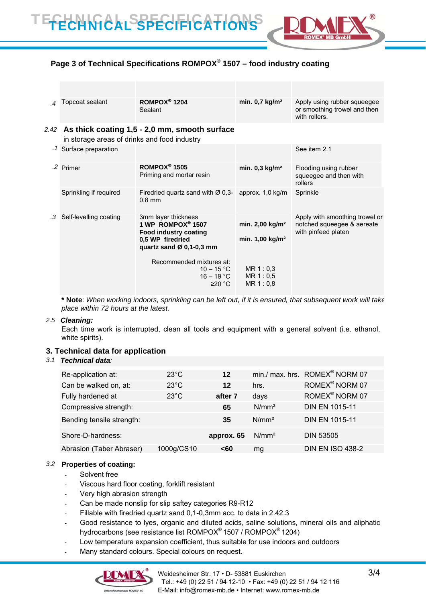

# **Page 3 of Technical Specifications ROMPOX® 1507 – food industry coating**

|      | Topcoat sealant                              | ROMPOX <sup>®</sup> 1204<br>Sealant                                                      | min. $0.7$ kg/m <sup>2</sup>     | Apply using rubber squeegee<br>or smoothing trowel and then<br>with rollers.        |
|------|----------------------------------------------|------------------------------------------------------------------------------------------|----------------------------------|-------------------------------------------------------------------------------------|
| 2.42 | in storage areas of drinks and food industry | As thick coating 1,5 - 2,0 mm, smooth surface                                            |                                  |                                                                                     |
|      | Surface preparation                          |                                                                                          |                                  | See item 2.1                                                                        |
|      | .2 Primer                                    | ROMPOX <sup>®</sup> 1505<br>Priming and mortar resin                                     | min. $0,3$ kg/m <sup>2</sup>     | Flooding using rubber<br>squeegee and then with<br>rollers                          |
|      | Sprinkling if required                       | Firedried quartz sand with $\varnothing$ 0,3- approx. 1,0 kg/m<br>$0.8$ mm               |                                  | Sprinkle                                                                            |
| .3   | Self-levelling coating                       | 3mm layer thickness<br>1 WP ROMPOX <sup>®</sup> 1507                                     | min. 2,00 kg/m <sup>2</sup>      | Apply with smoothing trowel or<br>notched squeegee & aereate<br>with pinfeed platen |
|      |                                              | <b>Food industry coating</b><br>0.5 WP firedried<br>quartz sand $\varnothing$ 0,1-0,3 mm | min. $1,00$ kg/m <sup>2</sup>    |                                                                                     |
|      |                                              | Recommended mixtures at:<br>$10 - 15 °C$<br>$16 - 19 °C$<br>≥20 °C                       | MR 1:0.3<br>MR 1:0,5<br>MR 1:0,8 |                                                                                     |

**\* Note**: *When working indoors, sprinkling can be left out, if it is ensured, that subsequent work will take place within 72 hours at the latest.* 

#### *2.5 Cleaning:*

Each time work is interrupted, clean all tools and equipment with a general solvent (i.e. ethanol, white spirits).

#### **3. Technical data for application**

#### *3.1 Technical data:*

| Re-application at:        | $23^{\circ}$ C | 12         |                   | min./ max. hrs. ROMEX <sup>®</sup> NORM 07 |
|---------------------------|----------------|------------|-------------------|--------------------------------------------|
| Can be walked on, at:     | $23^{\circ}$ C | 12         | hrs.              | ROMEX <sup>®</sup> NORM 07                 |
| Fully hardened at         | $23^{\circ}$ C | after 7    | days              | ROMEX <sup>®</sup> NORM 07                 |
| Compressive strength:     |                | 65         | N/mm <sup>2</sup> | <b>DIN EN 1015-11</b>                      |
| Bending tensile strength: |                | 35         | N/mm <sup>2</sup> | <b>DIN EN 1015-11</b>                      |
| Shore-D-hardness:         |                | approx. 65 | N/mm <sup>2</sup> | <b>DIN 53505</b>                           |
| Abrasion (Taber Abraser)  | 1000g/CS10     | <60        | mg                | <b>DIN EN ISO 438-2</b>                    |

#### *3.2* **Properties of coating:**

- Solvent free
- Viscous hard floor coating, forklift resistant
- Very high abrasion strength
- Can be made nonslip for slip saftey categories R9-R12
- Fillable with firedried quartz sand 0,1-0,3mm acc. to data in 2.42.3
- Good resistance to lyes, organic and diluted acids, saline solutions, mineral oils and aliphatic hydrocarbons (see resistance list ROMPOX® 1507 / ROMPOX® 1204)
- Low temperature expansion coefficient, thus suitable for use indoors and outdoors
- Many standard colours. Special colours on request.